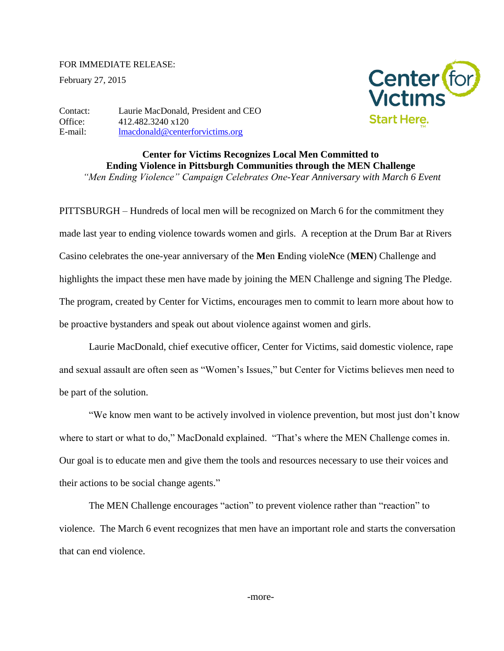## FOR IMMEDIATE RELEASE:

February 27, 2015



Contact: Laurie MacDonald, President and CEO Office: 412.482.3240 x120 E-mail: [lmacdonald@centerforvictims.org](mailto:lmacdonald@centerforvictims.org)

> **Center for Victims Recognizes Local Men Committed to Ending Violence in Pittsburgh Communities through the MEN Challenge** *"Men Ending Violence" Campaign Celebrates One-Year Anniversary with March 6 Event*

PITTSBURGH – Hundreds of local men will be recognized on March 6 for the commitment they made last year to ending violence towards women and girls. A reception at the Drum Bar at Rivers Casino celebrates the one-year anniversary of the **M**en **E**nding viole**N**ce (**MEN**) Challenge and highlights the impact these men have made by joining the MEN Challenge and signing The Pledge. The program, created by Center for Victims, encourages men to commit to learn more about how to be proactive bystanders and speak out about violence against women and girls.

Laurie MacDonald, chief executive officer, Center for Victims, said domestic violence, rape and sexual assault are often seen as "Women's Issues," but Center for Victims believes men need to be part of the solution.

"We know men want to be actively involved in violence prevention, but most just don't know where to start or what to do," MacDonald explained. "That's where the MEN Challenge comes in. Our goal is to educate men and give them the tools and resources necessary to use their voices and their actions to be social change agents."

The MEN Challenge encourages "action" to prevent violence rather than "reaction" to violence. The March 6 event recognizes that men have an important role and starts the conversation that can end violence.